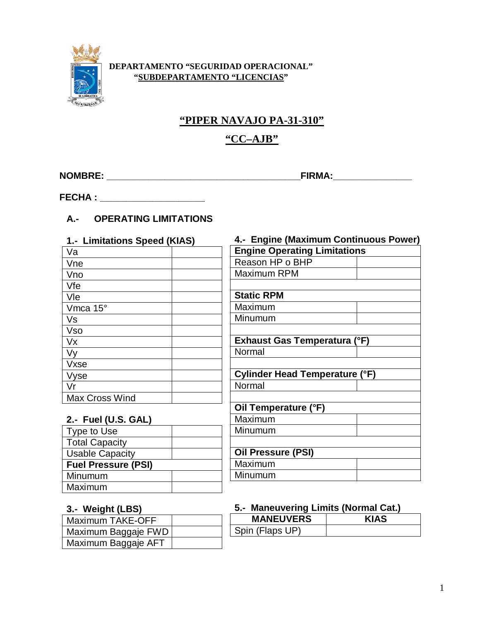

#### **DEPARTAMENTO "SEGURIDAD OPERACIONAL" "SUBDEPARTAMENTO "LICENCIAS"**

## **"PIPER NAVAJO PA-31-310"**

## **"CC–AJB"**

**NOMBRE: \_\_\_\_\_\_\_\_\_\_\_\_\_\_\_\_\_\_\_\_\_\_\_\_\_\_\_\_\_\_\_\_\_\_\_\_\_FIRMA:\_\_\_\_\_\_\_\_\_\_\_\_\_\_\_**

**FECHA : \_\_\_\_\_\_\_\_\_\_\_\_\_\_\_\_\_\_\_\_**

## **A.- OPERATING LIMITATIONS**

| 1.- Limitations Speed (KIAS) |  |
|------------------------------|--|
| Va                           |  |
| Vne                          |  |
| Vno                          |  |
| Vfe                          |  |
| Vle                          |  |
| Vmca 15°                     |  |
| Vs                           |  |
| <b>Vso</b>                   |  |
| Vx                           |  |
| Vy                           |  |
| Vxse                         |  |
| Vyse                         |  |
| Vr                           |  |
| <b>Max Cross Wind</b>        |  |

# **4.- Engine (Maximum Continuous Power) Engine Operating Limitations** Reason HP o BHP Maximum RPM **Static RPM** Maximum Minumum **Exhaust Gas Temperatura (°F)** Normal **Cylinder Head Temperature (°F)** Normal **Oil Temperature (°F)** Maximum Minumum **Oil Pressure (PSI)** Maximum Minumum

#### **2.- Fuel (U.S. GAL)**

| Type to Use                |  |
|----------------------------|--|
| <b>Total Capacity</b>      |  |
| <b>Usable Capacity</b>     |  |
|                            |  |
| <b>Fuel Pressure (PSI)</b> |  |
| Minumum                    |  |
| Maximum                    |  |

#### **3.- Weight (LBS)**

| l Maximum TAKE-OFF  |  |
|---------------------|--|
| Maximum Baggaje FWD |  |
| Maximum Baggaje AFT |  |

#### **5.- Maneuvering Limits (Normal Cat.)**

| <b>MANEUVERS</b> |  |
|------------------|--|
| Spin (Flaps UP)  |  |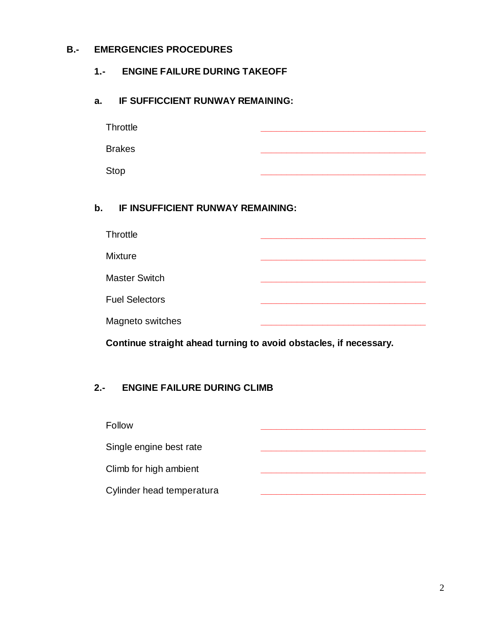### **B.- EMERGENCIES PROCEDURES**

## **1.- ENGINE FAILURE DURING TAKEOFF**

#### **a. IF SUFFICCIENT RUNWAY REMAINING:**

| Throttle      |  |  |  |
|---------------|--|--|--|
| <b>Brakes</b> |  |  |  |
| <b>Stop</b>   |  |  |  |

#### **b. IF INSUFFICIENT RUNWAY REMAINING:**

| <b>Throttle</b>       |  |  |
|-----------------------|--|--|
| <b>Mixture</b>        |  |  |
| <b>Master Switch</b>  |  |  |
| <b>Fuel Selectors</b> |  |  |
| Magneto switches      |  |  |

**Continue straight ahead turning to avoid obstacles, if necessary.**

#### **2.- ENGINE FAILURE DURING CLIMB**

| <b>Follow</b>             |  |
|---------------------------|--|
| Single engine best rate   |  |
| Climb for high ambient    |  |
| Cylinder head temperatura |  |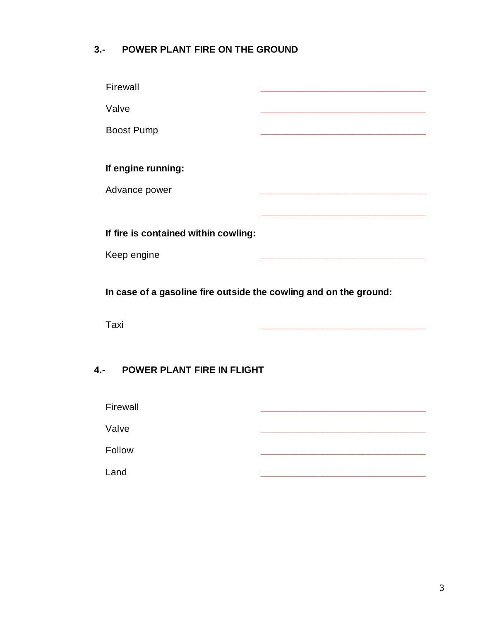## **3.- POWER PLANT FIRE ON THE GROUND**

| Firewall                             |  |
|--------------------------------------|--|
| Valve                                |  |
| <b>Boost Pump</b>                    |  |
|                                      |  |
| If engine running:                   |  |
| Advance power                        |  |
|                                      |  |
| If fire is contained within cowling: |  |
| Keep engine                          |  |
|                                      |  |

**In case of a gasoline fire outside the cowling and on the ground:**

Taxi **\_\_\_\_\_\_\_\_\_\_\_\_\_\_\_\_\_\_\_\_\_\_\_\_\_\_\_\_\_\_\_\_**

## **4.- POWER PLANT FIRE IN FLIGHT**

| Firewall |  |  |
|----------|--|--|
| Valve    |  |  |
| Follow   |  |  |
|          |  |  |
| Land     |  |  |